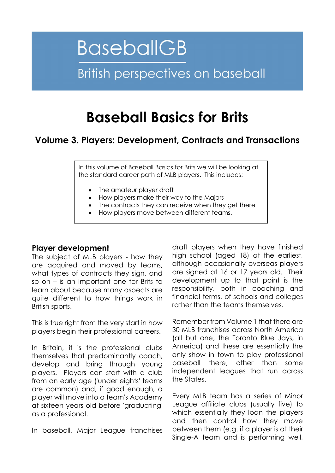# **BaseballGB British perspectives on baseball**

# Baseball Basics for Brits

# Volume 3. Players: Development, Contracts and Transactions

In this volume of Baseball Basics for Brits we will be looking at the standard career path of MLB players. This includes:

- The amateur player draft
- How players make their way to the Majors
- The contracts they can receive when they get there
- How players move between different teams.

#### Player development

The subject of MLB players - how they are acquired and moved by teams, what types of contracts they sign, and so on – is an important one for Brits to learn about because many aspects are quite different to how things work in British sports.

This is true right from the very start in how players begin their professional careers.

In Britain, it is the professional clubs themselves that predominantly coach, develop and bring through young players. Players can start with a club from an early age ('under eights' teams are common) and, if good enough, a player will move into a team's Academy at sixteen years old before 'graduating' as a professional.

In baseball, Major League franchises

draft players when they have finished high school (aged 18) at the earliest, although occasionally overseas players are signed at 16 or 17 years old. Their development up to that point is the responsibility, both in coaching and financial terms, of schools and colleges rather than the teams themselves.

Remember from Volume 1 that there are 30 MLB franchises across North America (all but one, the Toronto Blue Jays, in America) and these are essentially the only show in town to play professional baseball there, other than some independent leagues that run across the States.

Every MLB team has a series of Minor League affiliate clubs (usually five) to which essentially they loan the players and then control how they move between them (e.g. if a player is at their Single-A team and is performing well,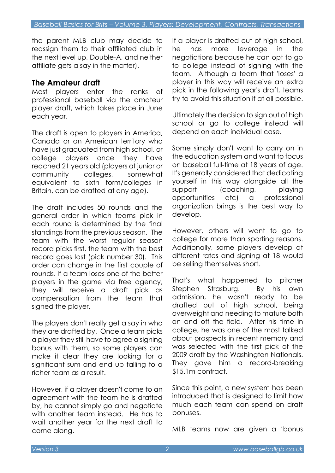the parent MLB club may decide to reassign them to their affiliated club in the next level up, Double-A, and neither affiliate gets a say in the matter).

# The Amateur draft

Most players enter the ranks of professional baseball via the amateur player draft, which takes place in June each year.

The draft is open to players in America, Canada or an American territory who have just graduated from high school, or college players once they have reached 21 years old (players at junior or community colleges, somewhat equivalent to sixth form/colleges in Britain, can be drafted at any age).

The draft includes 50 rounds and the general order in which teams pick in each round is determined by the final standings from the previous season. The team with the worst regular season record picks first, the team with the best record goes last (pick number 30). This order can change in the first couple of rounds. If a team loses one of the better players in the game via free agency, they will receive a draft pick as compensation from the team that signed the player.

The players don't really get a say in who they are drafted by. Once a team picks a player they still have to agree a signing bonus with them, so some players can make it clear they are looking for a significant sum and end up falling to a richer team as a result.

However, if a player doesn't come to an agreement with the team he is drafted by, he cannot simply go and negotiate with another team instead. He has to wait another year for the next draft to come along.

If a player is drafted out of high school, he has more leverage in the negotiations because he can opt to go to college instead of signing with the team. Although a team that 'loses' a player in this way will receive an extra pick in the following year's draft, teams try to avoid this situation if at all possible.

Ultimately the decision to sign out of high school or go to college instead will depend on each individual case.

Some simply don't want to carry on in the education system and want to focus on baseball full-time at 18 years of age. It's generally considered that dedicating yourself in this way alongside all the support (coaching, playing opportunities etc) a professional organization brings is the best way to develop.

However, others will want to go to college for more than sporting reasons. Additionally, some players develop at different rates and signing at 18 would be selling themselves short.

That's what happened to pitcher Stephen Strasburg. By his own admission, he wasn't ready to be drafted out of high school, being overweight and needing to mature both on and off the field. After his time in college, he was one of the most talked about prospects in recent memory and was selected with the first pick of the 2009 draft by the Washington Nationals. They gave him a record-breaking \$15.1m contract.

Since this point, a new system has been introduced that is designed to limit how much each team can spend on draft bonuses.

MLB teams now are given a 'bonus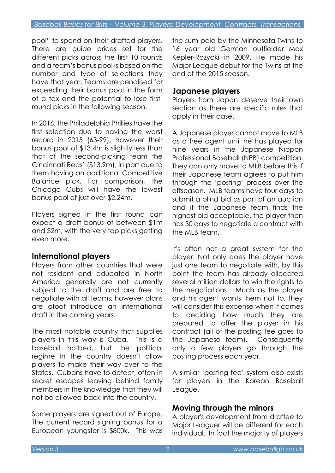pool" to spend on their drafted players. There are guide prices set for the different picks across the first 10 rounds and a team's bonus pool is based on the number and type of selections they have that year. Teams are penalised for exceeding their bonus pool in the form of a tax and the potential to lose firstround picks in the following season.

In 2016, the Philadelphia Phillies have the first selection due to having the worst record in 2015 (63-99), however their bonus pool of \$13.4m is slightly less than that of the second-picking team the Cincinnati Reds' (\$13.9m), in part due to them having an additional Competitive Balance pick. For comparison, the Chicago Cubs will have the lowest bonus pool of just over \$2.24m.

Players signed in the first round can expect a draft bonus of between \$1m and \$2m, with the very top picks getting even more.

# International players

Players from other countries that were not resident and educated in North America generally are not currently subject to the draft and are free to negotiate with all teams; however plans are afoot introduce an international draft in the coming years.

The most notable country that supplies players in this way is Cuba. This is a baseball hotbed, but the political regime in the country doesn't allow players to make their way over to the States. Cubans have to defect, often in secret escapes leaving behind family members in the knowledge that they will not be allowed back into the country.

Some players are signed out of Europe. The current record signing bonus for a European youngster is \$800k. This was the sum paid by the Minnesota Twins to 16 year old German outfielder Max Kepler-Rozycki in 2009. He made his Major League debut for the Twins at the end of the 2015 season.

#### Japanese players

Players from Japan deserve their own section as there are specific rules that apply in their case.

A Japanese player cannot move to MLB as a free agent until he has played for nine years in the Japanese Nippon Professional Baseball (NPB) competition. They can only move to MLB before this if their Japanese team agrees to put him through the 'posting' process over the offseason. MLB teams have four days to submit a blind bid as part of an auction and if the Japanese team finds the highest bid acceptable, the player then has 30 days to negotiate a contract with the MLB team.

It's often not a great system for the player. Not only does the player have just one team to negotiate with, by this point the team has already allocated several million dollars to win the rights to the negotiations. Much as the player and his agent wants them not to, they will consider this expense when it comes to deciding how much they are prepared to offer the player in his contract (all of the posting fee goes to the Japanese team). Consequently only a few players go through the posting process each year.

A similar 'posting fee' system also exists for players in the Korean Baseball League.

# Moving through the minors

A player's development from draftee to Major Leaguer will be different for each individual. In fact the majority of players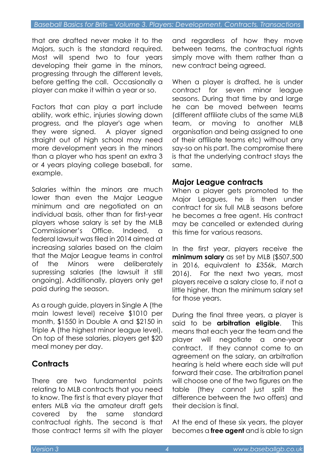that are drafted never make it to the Majors, such is the standard required. Most will spend two to four years developing their game in the minors, progressing through the different levels, before getting the call. Occasionally a player can make it within a year or so.

Factors that can play a part include ability, work ethic, injuries slowing down progress, and the player's age when they were signed. A player signed straight out of high school may need more development years in the minors than a player who has spent an extra 3 or 4 years playing college baseball, for example.

Salaries within the minors are much lower than even the Major League minimum and are negotiated on an individual basis, other than for first-year players whose salary is set by the MLB Commissioner's Office. Indeed, a federal lawsuit was filed in 2014 aimed at increasing salaries based on the claim that the Major League teams in control of the Minors were deliberately supressing salaries (the lawsuit it still ongoing). Additionally, players only get paid during the season.

As a rough guide, players in Single A (the main lowest level) receive \$1010 per month, \$1550 in Double A and \$2150 in Triple A (the highest minor league level). On top of these salaries, players get \$20 meal money per day.

# **Contracts**

There are two fundamental points relating to MLB contracts that you need to know. The first is that every player that enters MLB via the amateur draft gets covered by the same standard contractual rights. The second is that those contract terms sit with the player

and regardless of how they move between teams, the contractual rights simply move with them rather than a new contract being agreed.

When a player is drafted, he is under contract for seven minor league seasons. During that time by and large he can be moved between teams (different affiliate clubs of the same MLB team, or moving to another MLB organisation and being assigned to one of their affiliate teams etc) without any say-so on his part. The compromise there is that the underlying contract stays the same.

# Major League contracts

When a player gets promoted to the Major Leagues, he is then under contract for six full MLB seasons before he becomes a free agent. His contract may be cancelled or extended during this time for various reasons.

In the first year, players receive the minimum salary as set by MLB (\$507,500) in 2016, equivalent to £356k, March 2016). For the next two years, most players receive a salary close to, if not a little higher, than the minimum salary set for those years.

During the final three years, a player is said to be **arbitration eligible**. This means that each year the team and the player will negotiate a one-year contract. If they cannot come to an agreement on the salary, an arbitration hearing is held where each side will put forward their case. The arbitration panel will choose one of the two figures on the table (they cannot just split the difference between the two offers) and their decision is final.

At the end of these six years, the player becomes a free agent and is able to sign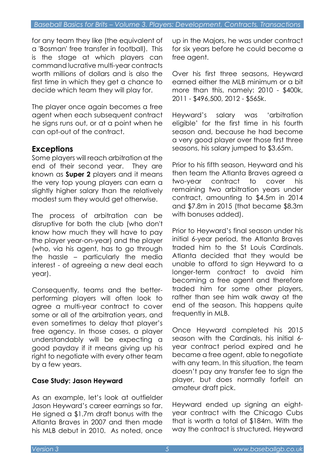for any team they like (the equivalent of a 'Bosman' free transfer in football). This is the stage at which players can command lucrative multi-year contracts worth millions of dollars and is also the first time in which they get a chance to decide which team they will play for.

The player once again becomes a free agent when each subsequent contract he signs runs out, or at a point when he can opt-out of the contract.

# Exceptions

Some players will reach arbitration at the end of their second year. They are known as **Super 2** players and it means the very top young players can earn a slightly higher salary than the relatively modest sum they would get otherwise.

The process of arbitration can be disruptive for both the club (who don't know how much they will have to pay the player year-on-year) and the player (who, via his agent, has to go through the hassle – particularly the media interest - of agreeing a new deal each year).

Consequently, teams and the betterperforming players will often look to agree a multi-year contract to cover some or all of the arbitration years, and even sometimes to delay that player's free agency. In those cases, a player understandably will be expecting a good payday if it means giving up his right to negotiate with every other team by a few years.

# Case Study: Jason Heyward

As an example, let's look at outfielder Jason Heyward's career earnings so far. He signed a \$1.7m draft bonus with the Atlanta Braves in 2007 and then made his MLB debut in 2010. As noted, once

up in the Majors, he was under contract for six years before he could become a free agent.

Over his first three seasons, Heyward earned either the MLB minimum or a bit more than this, namely: 2010 - \$400k, 2011 - \$496,500, 2012 - \$565k.

Heyward's salary was 'arbitration eligible' for the first time in his fourth season and, because he had become a very good player over those first three seasons, his salary jumped to \$3.65m.

Prior to his fifth season, Heyward and his then team the Atlanta Braves agreed a two-year contract to cover his remaining two arbitration years under contract, amounting to \$4.5m in 2014 and \$7.8m in 2015 (that became \$8.3m with bonuses added).

Prior to Heyward's final season under his initial 6-year period, the Atlanta Braves traded him to the St Louis Cardinals. Atlanta decided that they would be unable to afford to sign Heyward to a longer-term contract to avoid him becoming a free agent and therefore traded him for some other players, rather than see him walk away at the end of the season. This happens quite frequently in MLB.

Once Heyward completed his 2015 season with the Cardinals, his initial 6 year contract period expired and he became a free agent, able to negotiate with any team. In this situation, the team doesn't pay any transfer fee to sign the player, but does normally forfeit an amateur draft pick.

Heyward ended up signing an eightyear contract with the Chicago Cubs that is worth a total of \$184m. With the way the contract is structured, Heyward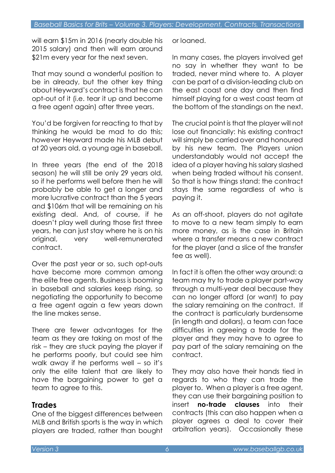will earn \$15m in 2016 (nearly double his 2015 salary) and then will earn around \$21m every year for the next seven.

That may sound a wonderful position to be in already, but the other key thing about Heyward's contract is that he can opt-out of it (i.e. tear it up and become a free agent again) after three years.

You'd be forgiven for reacting to that by thinking he would be mad to do this; however Heyward made his MLB debut at 20 years old, a young age in baseball.

In three years (the end of the 2018 season) he will still be only 29 years old, so if he performs well before then he will probably be able to get a longer and more lucrative contract than the 5 years and \$106m that will be remaining on his existing deal. And, of course, if he doesn't play well during those first three years, he can just stay where he is on his original, very well-remunerated contract.

Over the past year or so, such opt-outs have become more common among the elite free agents. Business is booming in baseball and salaries keep rising, so negotiating the opportunity to become a free agent again a few years down the line makes sense.

There are fewer advantages for the team as they are taking on most of the risk – they are stuck paying the player if he performs poorly, but could see him walk away if he performs well – so it's only the elite talent that are likely to have the bargaining power to get a team to agree to this.

# **Trades**

One of the biggest differences between MLB and British sports is the way in which players are traded, rather than bought or loaned.

In many cases, the players involved get no say in whether they want to be traded, never mind where to. A player can be part of a division-leading club on the east coast one day and then find himself playing for a west coast team at the bottom of the standings on the next.

The crucial point is that the player will not lose out financially: his existing contract will simply be carried over and honoured by his new team. The Players union understandably would not accept the idea of a player having his salary slashed when being traded without his consent. So that is how things stand: the contract stays the same regardless of who is paying it.

As an off-shoot, players do not agitate to move to a new team simply to earn more money, as is the case in Britain where a transfer means a new contract for the player (and a slice of the transfer fee as well).

In fact it is often the other way around: a team may try to trade a player part-way through a multi-year deal because they can no longer afford (or want) to pay the salary remaining on the contract. If the contract is particularly burdensome (in length and dollars), a team can face difficulties in agreeing a trade for the player and they may have to agree to pay part of the salary remaining on the contract.

They may also have their hands tied in regards to who they can trade the player to. When a player is a free agent, they can use their bargaining position to insert **no-trade clauses** into their contracts (this can also happen when a player agrees a deal to cover their arbitration years). Occasionally these